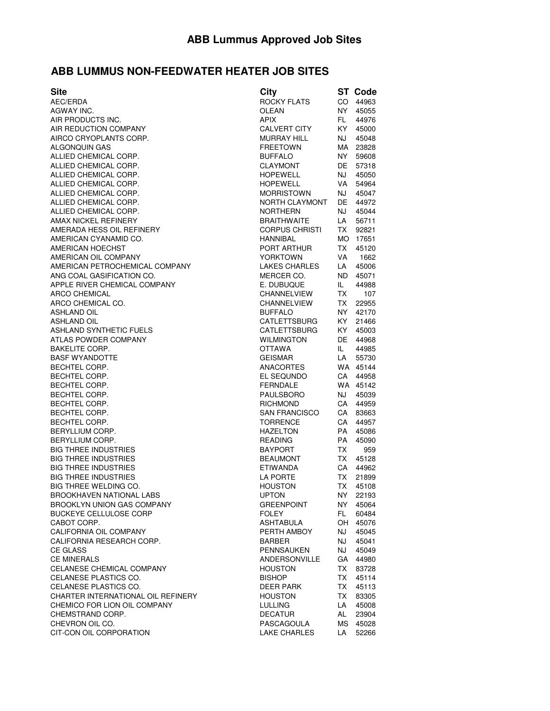## **ABB LUMMUS NON-FEEDWATER HEATER JOB SITES**

| City                |                                                                                                                                                                                                                                                                                                                                                                                                                                                                                                                                                                                                                                                                 | <b>ST Code</b>                                                                                                                                                                                                                                                                                                                                                                        |
|---------------------|-----------------------------------------------------------------------------------------------------------------------------------------------------------------------------------------------------------------------------------------------------------------------------------------------------------------------------------------------------------------------------------------------------------------------------------------------------------------------------------------------------------------------------------------------------------------------------------------------------------------------------------------------------------------|---------------------------------------------------------------------------------------------------------------------------------------------------------------------------------------------------------------------------------------------------------------------------------------------------------------------------------------------------------------------------------------|
| <b>ROCKY FLATS</b>  |                                                                                                                                                                                                                                                                                                                                                                                                                                                                                                                                                                                                                                                                 | 44963                                                                                                                                                                                                                                                                                                                                                                                 |
| OLEAN               |                                                                                                                                                                                                                                                                                                                                                                                                                                                                                                                                                                                                                                                                 | 45055                                                                                                                                                                                                                                                                                                                                                                                 |
| <b>APIX</b>         |                                                                                                                                                                                                                                                                                                                                                                                                                                                                                                                                                                                                                                                                 | 44976                                                                                                                                                                                                                                                                                                                                                                                 |
| <b>CALVERT CITY</b> |                                                                                                                                                                                                                                                                                                                                                                                                                                                                                                                                                                                                                                                                 | 45000                                                                                                                                                                                                                                                                                                                                                                                 |
|                     |                                                                                                                                                                                                                                                                                                                                                                                                                                                                                                                                                                                                                                                                 | 45048                                                                                                                                                                                                                                                                                                                                                                                 |
|                     |                                                                                                                                                                                                                                                                                                                                                                                                                                                                                                                                                                                                                                                                 | 23828                                                                                                                                                                                                                                                                                                                                                                                 |
|                     |                                                                                                                                                                                                                                                                                                                                                                                                                                                                                                                                                                                                                                                                 | 59608                                                                                                                                                                                                                                                                                                                                                                                 |
|                     |                                                                                                                                                                                                                                                                                                                                                                                                                                                                                                                                                                                                                                                                 | 57318                                                                                                                                                                                                                                                                                                                                                                                 |
|                     |                                                                                                                                                                                                                                                                                                                                                                                                                                                                                                                                                                                                                                                                 | 45050                                                                                                                                                                                                                                                                                                                                                                                 |
|                     |                                                                                                                                                                                                                                                                                                                                                                                                                                                                                                                                                                                                                                                                 | 54964                                                                                                                                                                                                                                                                                                                                                                                 |
|                     |                                                                                                                                                                                                                                                                                                                                                                                                                                                                                                                                                                                                                                                                 | 45047                                                                                                                                                                                                                                                                                                                                                                                 |
|                     |                                                                                                                                                                                                                                                                                                                                                                                                                                                                                                                                                                                                                                                                 | 44972                                                                                                                                                                                                                                                                                                                                                                                 |
|                     |                                                                                                                                                                                                                                                                                                                                                                                                                                                                                                                                                                                                                                                                 | 45044                                                                                                                                                                                                                                                                                                                                                                                 |
|                     |                                                                                                                                                                                                                                                                                                                                                                                                                                                                                                                                                                                                                                                                 | 56711                                                                                                                                                                                                                                                                                                                                                                                 |
|                     |                                                                                                                                                                                                                                                                                                                                                                                                                                                                                                                                                                                                                                                                 | 92821                                                                                                                                                                                                                                                                                                                                                                                 |
|                     |                                                                                                                                                                                                                                                                                                                                                                                                                                                                                                                                                                                                                                                                 | 17651                                                                                                                                                                                                                                                                                                                                                                                 |
|                     |                                                                                                                                                                                                                                                                                                                                                                                                                                                                                                                                                                                                                                                                 | 45120                                                                                                                                                                                                                                                                                                                                                                                 |
|                     |                                                                                                                                                                                                                                                                                                                                                                                                                                                                                                                                                                                                                                                                 | 1662                                                                                                                                                                                                                                                                                                                                                                                  |
|                     |                                                                                                                                                                                                                                                                                                                                                                                                                                                                                                                                                                                                                                                                 | 45006                                                                                                                                                                                                                                                                                                                                                                                 |
|                     |                                                                                                                                                                                                                                                                                                                                                                                                                                                                                                                                                                                                                                                                 | 45071                                                                                                                                                                                                                                                                                                                                                                                 |
|                     |                                                                                                                                                                                                                                                                                                                                                                                                                                                                                                                                                                                                                                                                 |                                                                                                                                                                                                                                                                                                                                                                                       |
|                     |                                                                                                                                                                                                                                                                                                                                                                                                                                                                                                                                                                                                                                                                 | 44988                                                                                                                                                                                                                                                                                                                                                                                 |
|                     |                                                                                                                                                                                                                                                                                                                                                                                                                                                                                                                                                                                                                                                                 | 107                                                                                                                                                                                                                                                                                                                                                                                   |
|                     |                                                                                                                                                                                                                                                                                                                                                                                                                                                                                                                                                                                                                                                                 | 22955                                                                                                                                                                                                                                                                                                                                                                                 |
|                     |                                                                                                                                                                                                                                                                                                                                                                                                                                                                                                                                                                                                                                                                 | 42170                                                                                                                                                                                                                                                                                                                                                                                 |
|                     |                                                                                                                                                                                                                                                                                                                                                                                                                                                                                                                                                                                                                                                                 | 21466                                                                                                                                                                                                                                                                                                                                                                                 |
|                     |                                                                                                                                                                                                                                                                                                                                                                                                                                                                                                                                                                                                                                                                 | 45003                                                                                                                                                                                                                                                                                                                                                                                 |
|                     |                                                                                                                                                                                                                                                                                                                                                                                                                                                                                                                                                                                                                                                                 | 44968                                                                                                                                                                                                                                                                                                                                                                                 |
|                     |                                                                                                                                                                                                                                                                                                                                                                                                                                                                                                                                                                                                                                                                 | 44985                                                                                                                                                                                                                                                                                                                                                                                 |
|                     |                                                                                                                                                                                                                                                                                                                                                                                                                                                                                                                                                                                                                                                                 | 55730                                                                                                                                                                                                                                                                                                                                                                                 |
|                     |                                                                                                                                                                                                                                                                                                                                                                                                                                                                                                                                                                                                                                                                 |                                                                                                                                                                                                                                                                                                                                                                                       |
|                     |                                                                                                                                                                                                                                                                                                                                                                                                                                                                                                                                                                                                                                                                 | 44958                                                                                                                                                                                                                                                                                                                                                                                 |
|                     |                                                                                                                                                                                                                                                                                                                                                                                                                                                                                                                                                                                                                                                                 | WA 45142                                                                                                                                                                                                                                                                                                                                                                              |
|                     |                                                                                                                                                                                                                                                                                                                                                                                                                                                                                                                                                                                                                                                                 | 45039                                                                                                                                                                                                                                                                                                                                                                                 |
|                     |                                                                                                                                                                                                                                                                                                                                                                                                                                                                                                                                                                                                                                                                 | CA 44959                                                                                                                                                                                                                                                                                                                                                                              |
|                     |                                                                                                                                                                                                                                                                                                                                                                                                                                                                                                                                                                                                                                                                 | CA 83663                                                                                                                                                                                                                                                                                                                                                                              |
|                     |                                                                                                                                                                                                                                                                                                                                                                                                                                                                                                                                                                                                                                                                 | 44957                                                                                                                                                                                                                                                                                                                                                                                 |
| <b>HAZELTON</b>     |                                                                                                                                                                                                                                                                                                                                                                                                                                                                                                                                                                                                                                                                 | 45086                                                                                                                                                                                                                                                                                                                                                                                 |
|                     |                                                                                                                                                                                                                                                                                                                                                                                                                                                                                                                                                                                                                                                                 | 45090                                                                                                                                                                                                                                                                                                                                                                                 |
| <b>BAYPORT</b>      |                                                                                                                                                                                                                                                                                                                                                                                                                                                                                                                                                                                                                                                                 | 959                                                                                                                                                                                                                                                                                                                                                                                   |
| <b>BEAUMONT</b>     |                                                                                                                                                                                                                                                                                                                                                                                                                                                                                                                                                                                                                                                                 | 45128                                                                                                                                                                                                                                                                                                                                                                                 |
| <b>ETIWANDA</b>     |                                                                                                                                                                                                                                                                                                                                                                                                                                                                                                                                                                                                                                                                 | 44962                                                                                                                                                                                                                                                                                                                                                                                 |
| LA PORTE            |                                                                                                                                                                                                                                                                                                                                                                                                                                                                                                                                                                                                                                                                 | 21899                                                                                                                                                                                                                                                                                                                                                                                 |
| <b>HOUSTON</b>      |                                                                                                                                                                                                                                                                                                                                                                                                                                                                                                                                                                                                                                                                 | 45108                                                                                                                                                                                                                                                                                                                                                                                 |
| <b>UPTON</b>        |                                                                                                                                                                                                                                                                                                                                                                                                                                                                                                                                                                                                                                                                 | 22193                                                                                                                                                                                                                                                                                                                                                                                 |
| <b>GREENPOINT</b>   |                                                                                                                                                                                                                                                                                                                                                                                                                                                                                                                                                                                                                                                                 | 45064                                                                                                                                                                                                                                                                                                                                                                                 |
| <b>FOLEY</b>        |                                                                                                                                                                                                                                                                                                                                                                                                                                                                                                                                                                                                                                                                 | 60484                                                                                                                                                                                                                                                                                                                                                                                 |
| <b>ASHTABULA</b>    |                                                                                                                                                                                                                                                                                                                                                                                                                                                                                                                                                                                                                                                                 | 45076                                                                                                                                                                                                                                                                                                                                                                                 |
| PERTH AMBOY         |                                                                                                                                                                                                                                                                                                                                                                                                                                                                                                                                                                                                                                                                 | 45045                                                                                                                                                                                                                                                                                                                                                                                 |
| <b>BARBER</b>       |                                                                                                                                                                                                                                                                                                                                                                                                                                                                                                                                                                                                                                                                 | 45041                                                                                                                                                                                                                                                                                                                                                                                 |
| PENNSAUKEN          |                                                                                                                                                                                                                                                                                                                                                                                                                                                                                                                                                                                                                                                                 | 45049                                                                                                                                                                                                                                                                                                                                                                                 |
| ANDERSONVILLE       |                                                                                                                                                                                                                                                                                                                                                                                                                                                                                                                                                                                                                                                                 | 44980                                                                                                                                                                                                                                                                                                                                                                                 |
| <b>HOUSTON</b>      |                                                                                                                                                                                                                                                                                                                                                                                                                                                                                                                                                                                                                                                                 | 83728                                                                                                                                                                                                                                                                                                                                                                                 |
| <b>BISHOP</b>       |                                                                                                                                                                                                                                                                                                                                                                                                                                                                                                                                                                                                                                                                 | 45114                                                                                                                                                                                                                                                                                                                                                                                 |
| DEER PARK           |                                                                                                                                                                                                                                                                                                                                                                                                                                                                                                                                                                                                                                                                 | 45113                                                                                                                                                                                                                                                                                                                                                                                 |
| <b>HOUSTON</b>      |                                                                                                                                                                                                                                                                                                                                                                                                                                                                                                                                                                                                                                                                 | 83305                                                                                                                                                                                                                                                                                                                                                                                 |
| <b>LULLING</b>      |                                                                                                                                                                                                                                                                                                                                                                                                                                                                                                                                                                                                                                                                 | 45008                                                                                                                                                                                                                                                                                                                                                                                 |
| <b>DECATUR</b>      |                                                                                                                                                                                                                                                                                                                                                                                                                                                                                                                                                                                                                                                                 | 23904                                                                                                                                                                                                                                                                                                                                                                                 |
|                     |                                                                                                                                                                                                                                                                                                                                                                                                                                                                                                                                                                                                                                                                 | 45028                                                                                                                                                                                                                                                                                                                                                                                 |
|                     |                                                                                                                                                                                                                                                                                                                                                                                                                                                                                                                                                                                                                                                                 |                                                                                                                                                                                                                                                                                                                                                                                       |
|                     | <b>MURRAY HILL</b><br><b>FREETOWN</b><br><b>BUFFALO</b><br><b>CLAYMONT</b><br><b>HOPEWELL</b><br><b>HOPEWELL</b><br><b>MORRISTOWN</b><br>NORTH CLAYMONT<br><b>NORTHERN</b><br><b>BRAITHWAITE</b><br><b>CORPUS CHRISTI</b><br><b>HANNIBAL</b><br>PORT ARTHUR<br><b>YORKTOWN</b><br><b>LAKES CHARLES</b><br>MERCER CO.<br>E. DUBUQUE<br>CHANNELVIEW<br>CHANNELVIEW<br><b>BUFFALO</b><br><b>CATLETTSBURG</b><br><b>CATLETTSBURG</b><br><b>WILMINGTON</b><br><b>OTTAWA</b><br><b>GEISMAR</b><br><b>ANACORTES</b><br>EL SEQUNDO<br><b>FERNDALE</b><br><b>PAULSBORO</b><br><b>RICHMOND</b><br><b>SAN FRANCISCO</b><br><b>TORRENCE</b><br><b>READING</b><br>PASCAGOULA | CO -<br>NY I<br>FL.<br>KY I<br>NJ.<br>MA<br>NY I<br>DE.<br>NJ<br>VA<br>NJ<br>DE<br>NJ<br>LA<br>TX -<br>MO –<br>TX<br>VA<br>LA<br>ND.<br>IL.<br><b>TX</b><br>TX<br>NY I<br>KY I<br>KY I<br>DE<br>IL.<br>LA<br>WA 45144<br>CA<br>NJ<br>CA<br>PA<br>PA<br>TX.<br>TX<br>CA<br><b>TX</b><br>ТX<br>NY<br>NY.<br>FL.<br>OH<br>NJ<br>NJ<br>NJ<br>GA<br>TX<br>TX<br>TX<br>TX<br>LA<br>AL<br>МS |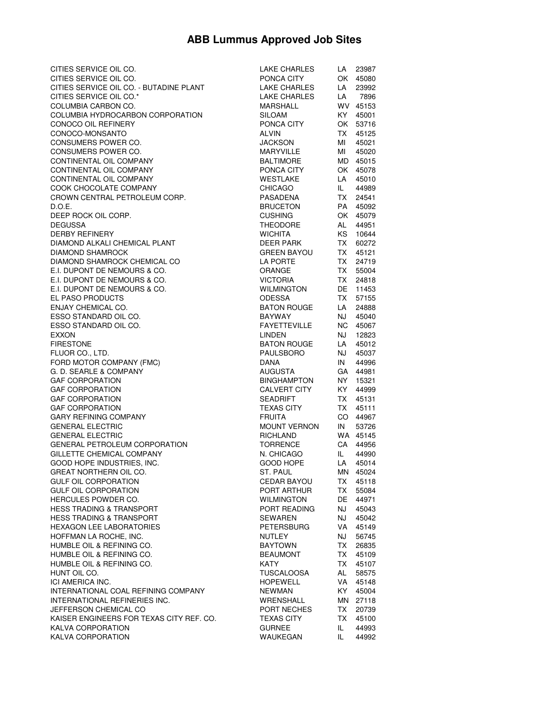## **ABB Lummus Approved Job Sites**

| CITIES SERVICE OIL CO.                   | <b>LAKE CHARLES</b> | LA        | 23987    |
|------------------------------------------|---------------------|-----------|----------|
| CITIES SERVICE OIL CO.                   | PONCA CITY          |           | OK 45080 |
| CITIES SERVICE OIL CO. - BUTADINE PLANT  | LAKE CHARLES        | LA        | 23992    |
| CITIES SERVICE OIL CO.*                  | <b>LAKE CHARLES</b> | LA        | 7896     |
| COLUMBIA CARBON CO.                      | <b>MARSHALL</b>     |           | WV 45153 |
| COLUMBIA HYDROCARBON CORPORATION         | <b>SILOAM</b>       | KY I      | 45001    |
| CONOCO OIL REFINERY                      | PONCA CITY          |           | OK 53716 |
| CONOCO-MONSANTO                          | <b>ALVIN</b>        | TX -      | 45125    |
| CONSUMERS POWER CO.                      | <b>JACKSON</b>      | MI        | 45021    |
| CONSUMERS POWER CO.                      | <b>MARYVILLE</b>    | MI        | 45020    |
| CONTINENTAL OIL COMPANY                  | <b>BALTIMORE</b>    |           | MD 45015 |
| CONTINENTAL OIL COMPANY                  | PONCA CITY          |           | OK 45078 |
| CONTINENTAL OIL COMPANY                  | <b>WESTLAKE</b>     | LA        | 45010    |
| COOK CHOCOLATE COMPANY                   | <b>CHICAGO</b>      | IL.       | 44989    |
| CROWN CENTRAL PETROLEUM CORP.            | PASADENA            | TX -      | 24541    |
| D.O.E.                                   | <b>BRUCETON</b>     | PA        | 45092    |
| DEEP ROCK OIL CORP.                      | <b>CUSHING</b>      |           | OK 45079 |
| <b>DEGUSSA</b>                           | <b>THEODORE</b>     | AL        | 44951    |
| <b>DERBY REFINERY</b>                    | <b>WICHITA</b>      | KS        | 10644    |
| DIAMOND ALKALI CHEMICAL PLANT            | <b>DEER PARK</b>    | TX I      | 60272    |
| <b>DIAMOND SHAMROCK</b>                  | <b>GREEN BAYOU</b>  | TX -      | 45121    |
| DIAMOND SHAMROCK CHEMICAL CO             | LA PORTE            | <b>TX</b> | 24719    |
| E.I. DUPONT DE NEMOURS & CO.             | ORANGE              | TX -      | 55004    |
| E.I. DUPONT DE NEMOURS & CO.             | <b>VICTORIA</b>     | TX I      | 24818    |
| E.I. DUPONT DE NEMOURS & CO.             | <b>WILMINGTON</b>   | DE 1      | 11453    |
| EL PASO PRODUCTS                         | <b>ODESSA</b>       | TX .      | 57155    |
| ENJAY CHEMICAL CO.                       | <b>BATON ROUGE</b>  | LA        | 24888    |
| ESSO STANDARD OIL CO.                    | <b>BAYWAY</b>       | NJ 1      | 45040    |
| ESSO STANDARD OIL CO.                    | <b>FAYETTEVILLE</b> | NC .      | 45067    |
| <b>EXXON</b>                             | <b>LINDEN</b>       | NJ        | 12823    |
| <b>FIRESTONE</b>                         | <b>BATON ROUGE</b>  | LA        | 45012    |
| FLUOR CO., LTD.                          | PAULSBORO           | NJ        | 45037    |
| FORD MOTOR COMPANY (FMC)                 | <b>DANA</b>         | IN        | 44996    |
| G. D. SEARLE & COMPANY                   | <b>AUGUSTA</b>      |           | GA 44981 |
| <b>GAF CORPORATION</b>                   | <b>BINGHAMPTON</b>  | NY I      | 15321    |
| <b>GAF CORPORATION</b>                   | <b>CALVERT CITY</b> | KY I      | 44999    |
| <b>GAF CORPORATION</b>                   | <b>SEADRIFT</b>     | TX I      | 45131    |
| <b>GAF CORPORATION</b>                   | <b>TEXAS CITY</b>   | TX -      | 45111    |
| <b>GARY REFINING COMPANY</b>             | <b>FRUITA</b>       |           | CO 44967 |
| <b>GENERAL ELECTRIC</b>                  | <b>MOUNT VERNON</b> | IN        | 53726    |
| <b>GENERAL ELECTRIC</b>                  | RICHLAND            |           | WA 45145 |
| <b>GENERAL PETROLEUM CORPORATION</b>     | <b>TORRENCE</b>     | CA        | 44956    |
| GILLETTE CHEMICAL COMPANY                | N. CHICAGO          | IL.       | 44990    |
| GOOD HOPE INDUSTRIES, INC.               | <b>GOOD HOPE</b>    | LA        | 45014    |
| <b>GREAT NORTHERN OIL CO.</b>            | ST. PAUL            | MN        | 45024    |
| <b>GULF OIL CORPORATION</b>              | <b>CEDAR BAYOU</b>  | TX        | 45118    |
| <b>GULF OIL CORPORATION</b>              | PORT ARTHUR         | TX        | 55084    |
| HERCULES POWDER CO.                      | <b>WILMINGTON</b>   | DE        | 44971    |
| <b>HESS TRADING &amp; TRANSPORT</b>      | PORT READING        | NJ        | 45043    |
| <b>HESS TRADING &amp; TRANSPORT</b>      | SEWAREN             | NJ        | 45042    |
| <b>HEXAGON LEE LABORATORIES</b>          | PETERSBURG          | VA        | 45149    |
| HOFFMAN LA ROCHE, INC.                   | NUTLEY              | NJ        | 56745    |
| HUMBLE OIL & REFINING CO.                | <b>BAYTOWN</b>      | TX        | 26835    |
| HUMBLE OIL & REFINING CO.                | <b>BEAUMONT</b>     | TX I      | 45109    |
| HUMBLE OIL & REFINING CO.                | KATY                | TX I      | 45107    |
| HUNT OIL CO.                             | TUSCALOOSA          | AL        | 58575    |
| ICI AMERICA INC.                         | <b>HOPEWELL</b>     | VA        | 45148    |
| INTERNATIONAL COAL REFINING COMPANY      | <b>NEWMAN</b>       | KY I      | 45004    |
| INTERNATIONAL REFINERIES INC.            | WRENSHALL           | MN        | 27118    |
| JEFFERSON CHEMICAL CO                    | PORT NECHES         | TX.       | 20739    |
| KAISER ENGINEERS FOR TEXAS CITY REF. CO. | TEXAS CITY          | TX .      | 45100    |
| KALVA CORPORATION                        | <b>GURNEE</b>       | IL.       | 44993    |
| KALVA CORPORATION                        | WAUKEGAN            | IL        | 44992    |
|                                          |                     |           |          |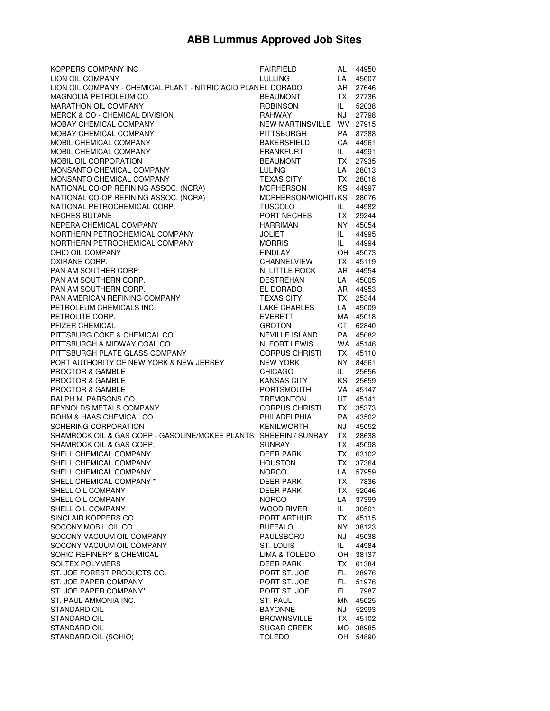## **ABB Lummus Approved Job Sites**

| <b>KOPPERS COMPANY INC</b>                                       | <b>FAIRFIELD</b>             | AL        | 44950          |
|------------------------------------------------------------------|------------------------------|-----------|----------------|
| LION OIL COMPANY                                                 | <b>LULLING</b>               | LA        | 45007          |
| LION OIL COMPANY - CHEMICAL PLANT - NITRIC ACID PLAN EL DORADO   |                              | AR        | 27646          |
| MAGNOLIA PETROLEUM CO.                                           | <b>BEAUMONT</b>              | TX I      | 27736          |
| MARATHON OIL COMPANY                                             | <b>ROBINSON</b>              | IL.       | 52038          |
| <b>MERCK &amp; CO - CHEMICAL DIVISION</b>                        | <b>RAHWAY</b>                | NJ        | 27798          |
| MOBAY CHEMICAL COMPANY                                           | NEW MARTINSVILLE WV 27915    |           |                |
| MOBAY CHEMICAL COMPANY                                           | <b>PITTSBURGH</b>            | PA        | 87388          |
| MOBIL CHEMICAL COMPANY                                           | <b>BAKERSFIELD</b>           | CA        | 44961          |
| MOBIL CHEMICAL COMPANY                                           | <b>FRANKFURT</b>             | IL.       | 44991          |
| MOBIL OIL CORPORATION                                            | <b>BEAUMONT</b>              | TX I      | 27935          |
| MONSANTO CHEMICAL COMPANY                                        | <b>LULING</b>                | LA        | 28013          |
| MONSANTO CHEMICAL COMPANY                                        | <b>TEXAS CITY</b>            | TX .      | 28018          |
| NATIONAL CO-OP REFINING ASSOC. (NCRA)                            | <b>MCPHERSON</b>             | KS I      | 44997          |
| NATIONAL CO-OP REFINING ASSOC. (NCRA)                            | MCPHERSON/WICHIT, KS         |           | 28076          |
| NATIONAL PETROCHEMICAL CORP.                                     | <b>TUSCOLO</b>               | IL.       | 44982          |
| <b>NECHES BUTANE</b>                                             | PORT NECHES                  | TX I      | 29244          |
|                                                                  |                              |           |                |
| NEPERA CHEMICAL COMPANY                                          | <b>HARRIMAN</b>              | NY I      | 45054          |
| NORTHERN PETROCHEMICAL COMPANY                                   | <b>JOLIET</b>                | IL.       | 44995          |
| NORTHERN PETROCHEMICAL COMPANY                                   | <b>MORRIS</b>                | IL.       | 44994          |
| OHIO OIL COMPANY                                                 | <b>FINDLAY</b>               |           | OH 45073       |
| OXIRANE CORP.                                                    | <b>CHANNELVIEW</b>           | TX .      | 45119          |
| PAN AM SOUTHER CORP.                                             | N. LITTLE ROCK               | AR        | 44954          |
| PAN AM SOUTHERN CORP.                                            | <b>DESTREHAN</b>             | LA        | 45005          |
| PAN AM SOUTHERN CORP.                                            | EL DORADO                    | AR        | 44953          |
| PAN AMERICAN REFINING COMPANY                                    | <b>TEXAS CITY</b>            | TX .      | 25344          |
| PETROLEUM CHEMICALS INC.                                         | <b>LAKE CHARLES</b>          | LA        | 45009          |
| PETROLITE CORP.                                                  | <b>EVERETT</b>               | MA        | 45018          |
| PFIZER CHEMICAL                                                  | <b>GROTON</b>                | CT        | 62840          |
| PITTSBURG COKE & CHEMICAL CO.                                    | <b>NEVILLE ISLAND</b>        | PA        | 45082          |
| PITTSBURGH & MIDWAY COAL CO.                                     | N. FORT LEWIS                |           | WA 45146       |
| PITTSBURGH PLATE GLASS COMPANY                                   | <b>CORPUS CHRISTI</b>        | TX I      | 45110          |
| PORT AUTHORITY OF NEW YORK & NEW JERSEY                          | <b>NEW YORK</b>              | NY L      | 84561          |
| <b>PROCTOR &amp; GAMBLE</b>                                      | <b>CHICAGO</b>               | IL.       | 25656          |
| PROCTOR & GAMBLE                                                 | <b>KANSAS CITY</b>           | KS        | 25659          |
| PROCTOR & GAMBLE                                                 | <b>PORTSMOUTH</b>            | VA        | 45147          |
| RALPH M. PARSONS CO.                                             | <b>TREMONTON</b>             | UT        | 45141          |
| REYNOLDS METALS COMPANY                                          | <b>CORPUS CHRISTI</b>        | TX .      | 35373          |
| ROHM & HAAS CHEMICAL CO.                                         | PHILADELPHIA                 | PA        | 43502          |
| SCHERING CORPORATION                                             | <b>KENILWORTH</b>            | NJ        | 45052          |
| SHAMROCK OIL & GAS CORP - GASOLINE/MCKEE PLANTS SHEERIN / SUNRAY |                              | TX I      | 28638          |
| SHAMROCK OIL & GAS CORP.                                         | <b>SUNRAY</b>                | TX .      | 45098          |
| SHELL CHEMICAL COMPANY                                           | DEER PARK                    | TX I      | 63102          |
| SHELL CHEMICAL COMPANY                                           | <b>HOUSTON</b>               | TX I      | 37364          |
| SHELL CHEMICAL COMPANY                                           | <b>NORCO</b>                 | LA        | 57959          |
| SHELL CHEMICAL COMPANY *                                         | <b>DEER PARK</b>             | TX        | 7836           |
| SHELL OIL COMPANY                                                | DEER PARK                    | TX        | 52046          |
| SHELL OIL COMPANY                                                | <b>NORCO</b>                 | LA        | 37399          |
| SHELL OIL COMPANY                                                | WOOD RIVER                   | IL.       | 30501          |
| SINCLAIR KOPPERS CO.                                             | PORT ARTHUR                  | TX        | 45115          |
| SOCONY MOBIL OIL CO.                                             | <b>BUFFALO</b>               | NY ·      | 38123          |
| SOCONY VACUUM OIL COMPANY                                        | PAULSBORO                    | NJ        | 45038          |
| SOCONY VACUUM OIL COMPANY                                        | ST. LOUIS                    | IL.       | 44984          |
| SOHIO REFINERY & CHEMICAL                                        |                              |           |                |
|                                                                  | LIMA & TOLEDO                | OH        | 38137          |
| <b>SOLTEX POLYMERS</b>                                           | DEER PARK                    | TX        | 61384          |
| ST. JOE FOREST PRODUCTS CO.                                      | PORT ST. JOE                 | FL.       | 28976          |
| ST. JOE PAPER COMPANY                                            | PORT ST. JOE                 | FL.       | 51976          |
| ST. JOE PAPER COMPANY*                                           | PORT ST. JOE                 | FL        | 7987           |
| ST. PAUL AMMONIA INC.                                            | ST. PAUL                     | MN        | 45025          |
| STANDARD OIL                                                     | <b>BAYONNE</b>               | NJ        | 52993          |
| STANDARD OIL                                                     | <b>BROWNSVILLE</b>           | TX        | 45102          |
|                                                                  |                              |           |                |
| STANDARD OIL<br>STANDARD OIL (SOHIO)                             | <b>SUGAR CREEK</b><br>TOLEDO | MO.<br>OH | 38985<br>54890 |